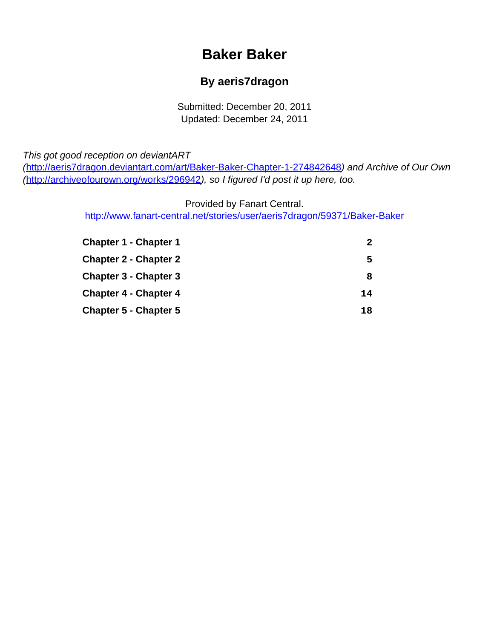# **Baker Baker**

### **By aeris7dragon**

Submitted: December 20, 2011 Updated: December 24, 2011

<span id="page-0-0"></span>This got good reception on deviantART

(<http://aeris7dragon.deviantart.com/art/Baker-Baker-Chapter-1-274842648>) and Archive of Our Own (<http://archiveofourown.org/works/296942>), so I figured I'd post it up here, too.

Provided by Fanart Central.

[http://www.fanart-central.net/stories/user/aeris7dragon/59371/Baker-Baker](#page-0-0)

| <b>Chapter 1 - Chapter 1</b> |    |
|------------------------------|----|
| <b>Chapter 2 - Chapter 2</b> | 5  |
| <b>Chapter 3 - Chapter 3</b> | 8  |
| <b>Chapter 4 - Chapter 4</b> | 14 |
| <b>Chapter 5 - Chapter 5</b> | 18 |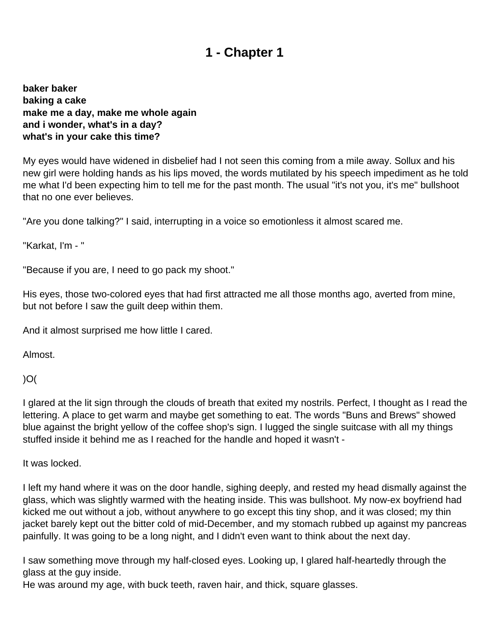<span id="page-1-0"></span>**baker baker baking a cake make me a day, make me whole again and i wonder, what's in a day? what's in your cake this time?**

My eyes would have widened in disbelief had I not seen this coming from a mile away. Sollux and his new girl were holding hands as his lips moved, the words mutilated by his speech impediment as he told me what I'd been expecting him to tell me for the past month. The usual "it's not you, it's me" bullshoot that no one ever believes.

"Are you done talking?" I said, interrupting in a voice so emotionless it almost scared me.

"Karkat, I'm - "

"Because if you are, I need to go pack my shoot."

His eyes, those two-colored eyes that had first attracted me all those months ago, averted from mine, but not before I saw the guilt deep within them.

And it almost surprised me how little I cared.

Almost.

 $)O($ 

I glared at the lit sign through the clouds of breath that exited my nostrils. Perfect, I thought as I read the lettering. A place to get warm and maybe get something to eat. The words "Buns and Brews" showed blue against the bright yellow of the coffee shop's sign. I lugged the single suitcase with all my things stuffed inside it behind me as I reached for the handle and hoped it wasn't -

It was locked.

I left my hand where it was on the door handle, sighing deeply, and rested my head dismally against the glass, which was slightly warmed with the heating inside. This was bullshoot. My now-ex boyfriend had kicked me out without a job, without anywhere to go except this tiny shop, and it was closed; my thin jacket barely kept out the bitter cold of mid-December, and my stomach rubbed up against my pancreas painfully. It was going to be a long night, and I didn't even want to think about the next day.

I saw something move through my half-closed eyes. Looking up, I glared half-heartedly through the glass at the guy inside.

He was around my age, with buck teeth, raven hair, and thick, square glasses.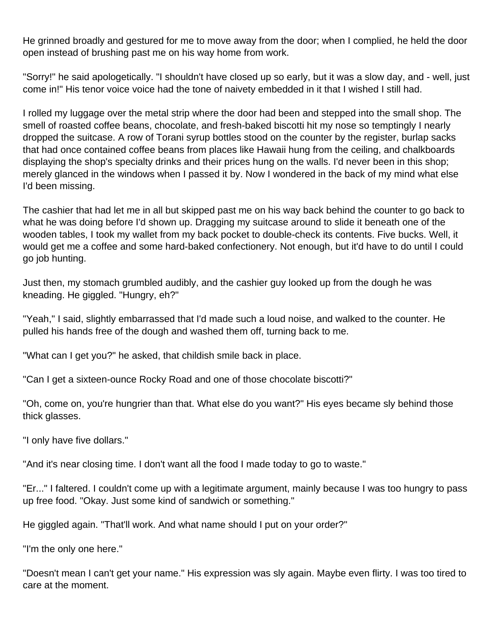He grinned broadly and gestured for me to move away from the door; when I complied, he held the door open instead of brushing past me on his way home from work.

"Sorry!" he said apologetically. "I shouldn't have closed up so early, but it was a slow day, and - well, just come in!" His tenor voice voice had the tone of naivety embedded in it that I wished I still had.

I rolled my luggage over the metal strip where the door had been and stepped into the small shop. The smell of roasted coffee beans, chocolate, and fresh-baked biscotti hit my nose so temptingly I nearly dropped the suitcase. A row of Torani syrup bottles stood on the counter by the register, burlap sacks that had once contained coffee beans from places like Hawaii hung from the ceiling, and chalkboards displaying the shop's specialty drinks and their prices hung on the walls. I'd never been in this shop; merely glanced in the windows when I passed it by. Now I wondered in the back of my mind what else I'd been missing.

The cashier that had let me in all but skipped past me on his way back behind the counter to go back to what he was doing before I'd shown up. Dragging my suitcase around to slide it beneath one of the wooden tables, I took my wallet from my back pocket to double-check its contents. Five bucks. Well, it would get me a coffee and some hard-baked confectionery. Not enough, but it'd have to do until I could go job hunting.

Just then, my stomach grumbled audibly, and the cashier guy looked up from the dough he was kneading. He giggled. "Hungry, eh?"

"Yeah," I said, slightly embarrassed that I'd made such a loud noise, and walked to the counter. He pulled his hands free of the dough and washed them off, turning back to me.

"What can I get you?" he asked, that childish smile back in place.

"Can I get a sixteen-ounce Rocky Road and one of those chocolate biscotti?"

"Oh, come on, you're hungrier than that. What else do you want?" His eyes became sly behind those thick glasses.

"I only have five dollars."

"And it's near closing time. I don't want all the food I made today to go to waste."

"Er..." I faltered. I couldn't come up with a legitimate argument, mainly because I was too hungry to pass up free food. "Okay. Just some kind of sandwich or something."

He giggled again. "That'll work. And what name should I put on your order?"

"I'm the only one here."

"Doesn't mean I can't get your name." His expression was sly again. Maybe even flirty. I was too tired to care at the moment.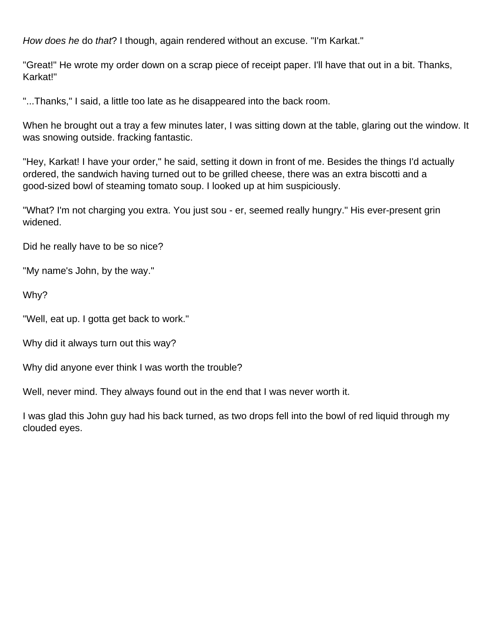How does he do that? I though, again rendered without an excuse. "I'm Karkat."

"Great!" He wrote my order down on a scrap piece of receipt paper. I'll have that out in a bit. Thanks, Karkat!"

"...Thanks," I said, a little too late as he disappeared into the back room.

When he brought out a tray a few minutes later, I was sitting down at the table, glaring out the window. It was snowing outside. fracking fantastic.

"Hey, Karkat! I have your order," he said, setting it down in front of me. Besides the things I'd actually ordered, the sandwich having turned out to be grilled cheese, there was an extra biscotti and a good-sized bowl of steaming tomato soup. I looked up at him suspiciously.

"What? I'm not charging you extra. You just sou - er, seemed really hungry." His ever-present grin widened.

Did he really have to be so nice?

"My name's John, by the way."

Why?

"Well, eat up. I gotta get back to work."

Why did it always turn out this way?

Why did anyone ever think I was worth the trouble?

Well, never mind. They always found out in the end that I was never worth it.

I was glad this John guy had his back turned, as two drops fell into the bowl of red liquid through my clouded eyes.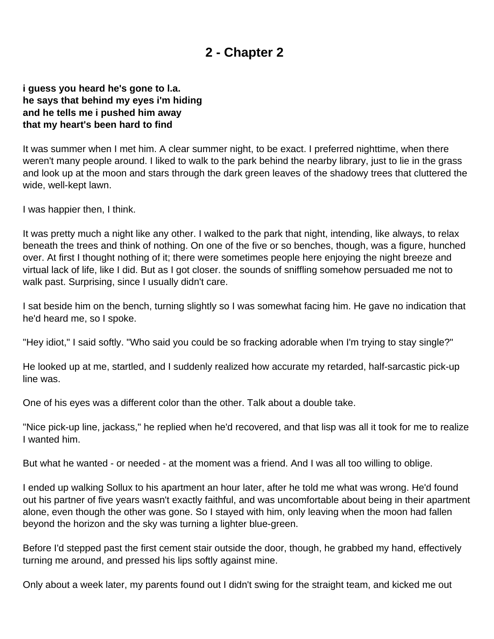<span id="page-4-0"></span>**i guess you heard he's gone to l.a. he says that behind my eyes i'm hiding and he tells me i pushed him away that my heart's been hard to find**

It was summer when I met him. A clear summer night, to be exact. I preferred nighttime, when there weren't many people around. I liked to walk to the park behind the nearby library, just to lie in the grass and look up at the moon and stars through the dark green leaves of the shadowy trees that cluttered the wide, well-kept lawn.

I was happier then, I think.

It was pretty much a night like any other. I walked to the park that night, intending, like always, to relax beneath the trees and think of nothing. On one of the five or so benches, though, was a figure, hunched over. At first I thought nothing of it; there were sometimes people here enjoying the night breeze and virtual lack of life, like I did. But as I got closer. the sounds of sniffling somehow persuaded me not to walk past. Surprising, since I usually didn't care.

I sat beside him on the bench, turning slightly so I was somewhat facing him. He gave no indication that he'd heard me, so I spoke.

"Hey idiot," I said softly. "Who said you could be so fracking adorable when I'm trying to stay single?"

He looked up at me, startled, and I suddenly realized how accurate my retarded, half-sarcastic pick-up line was.

One of his eyes was a different color than the other. Talk about a double take.

"Nice pick-up line, jackass," he replied when he'd recovered, and that lisp was all it took for me to realize I wanted him.

But what he wanted - or needed - at the moment was a friend. And I was all too willing to oblige.

I ended up walking Sollux to his apartment an hour later, after he told me what was wrong. He'd found out his partner of five years wasn't exactly faithful, and was uncomfortable about being in their apartment alone, even though the other was gone. So I stayed with him, only leaving when the moon had fallen beyond the horizon and the sky was turning a lighter blue-green.

Before I'd stepped past the first cement stair outside the door, though, he grabbed my hand, effectively turning me around, and pressed his lips softly against mine.

Only about a week later, my parents found out I didn't swing for the straight team, and kicked me out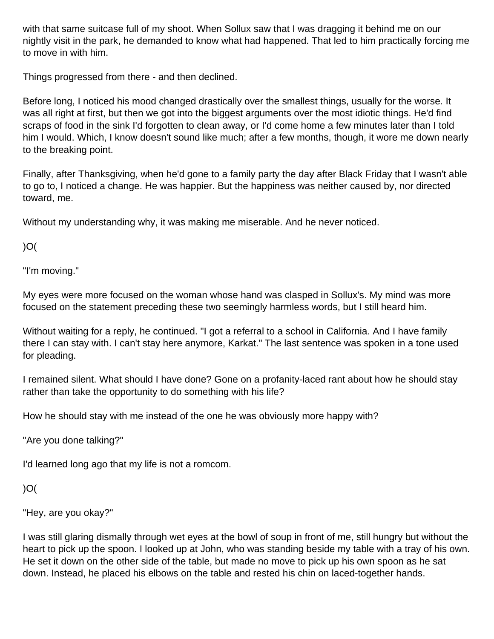with that same suitcase full of my shoot. When Sollux saw that I was dragging it behind me on our nightly visit in the park, he demanded to know what had happened. That led to him practically forcing me to move in with him.

Things progressed from there - and then declined.

Before long, I noticed his mood changed drastically over the smallest things, usually for the worse. It was all right at first, but then we got into the biggest arguments over the most idiotic things. He'd find scraps of food in the sink I'd forgotten to clean away, or I'd come home a few minutes later than I told him I would. Which, I know doesn't sound like much; after a few months, though, it wore me down nearly to the breaking point.

Finally, after Thanksgiving, when he'd gone to a family party the day after Black Friday that I wasn't able to go to, I noticed a change. He was happier. But the happiness was neither caused by, nor directed toward, me.

Without my understanding why, it was making me miserable. And he never noticed.

)O(

"I'm moving."

My eyes were more focused on the woman whose hand was clasped in Sollux's. My mind was more focused on the statement preceding these two seemingly harmless words, but I still heard him.

Without waiting for a reply, he continued. "I got a referral to a school in California. And I have family there I can stay with. I can't stay here anymore, Karkat." The last sentence was spoken in a tone used for pleading.

I remained silent. What should I have done? Gone on a profanity-laced rant about how he should stay rather than take the opportunity to do something with his life?

How he should stay with me instead of the one he was obviously more happy with?

"Are you done talking?"

I'd learned long ago that my life is not a romcom.

 $)O($ 

"Hey, are you okay?"

I was still glaring dismally through wet eyes at the bowl of soup in front of me, still hungry but without the heart to pick up the spoon. I looked up at John, who was standing beside my table with a tray of his own. He set it down on the other side of the table, but made no move to pick up his own spoon as he sat down. Instead, he placed his elbows on the table and rested his chin on laced-together hands.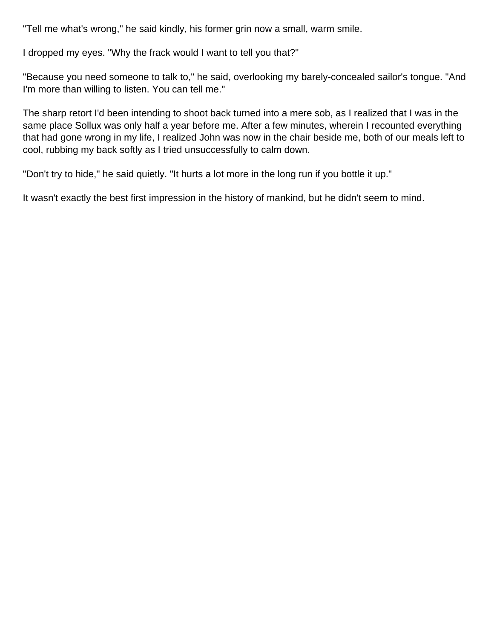"Tell me what's wrong," he said kindly, his former grin now a small, warm smile.

I dropped my eyes. "Why the frack would I want to tell you that?"

"Because you need someone to talk to," he said, overlooking my barely-concealed sailor's tongue. "And I'm more than willing to listen. You can tell me."

The sharp retort I'd been intending to shoot back turned into a mere sob, as I realized that I was in the same place Sollux was only half a year before me. After a few minutes, wherein I recounted everything that had gone wrong in my life, I realized John was now in the chair beside me, both of our meals left to cool, rubbing my back softly as I tried unsuccessfully to calm down.

"Don't try to hide," he said quietly. "It hurts a lot more in the long run if you bottle it up."

It wasn't exactly the best first impression in the history of mankind, but he didn't seem to mind.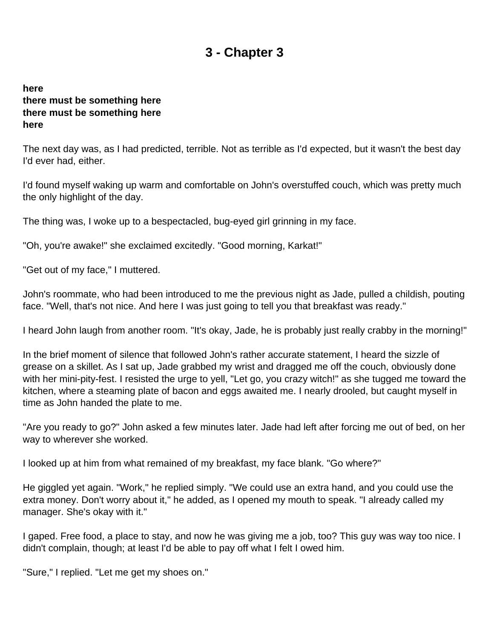#### <span id="page-7-0"></span>**here there must be something here there must be something here here**

The next day was, as I had predicted, terrible. Not as terrible as I'd expected, but it wasn't the best day I'd ever had, either.

I'd found myself waking up warm and comfortable on John's overstuffed couch, which was pretty much the only highlight of the day.

The thing was, I woke up to a bespectacled, bug-eyed girl grinning in my face.

"Oh, you're awake!" she exclaimed excitedly. "Good morning, Karkat!"

"Get out of my face," I muttered.

John's roommate, who had been introduced to me the previous night as Jade, pulled a childish, pouting face. "Well, that's not nice. And here I was just going to tell you that breakfast was ready."

I heard John laugh from another room. "It's okay, Jade, he is probably just really crabby in the morning!"

In the brief moment of silence that followed John's rather accurate statement, I heard the sizzle of grease on a skillet. As I sat up, Jade grabbed my wrist and dragged me off the couch, obviously done with her mini-pity-fest. I resisted the urge to yell, "Let go, you crazy witch!" as she tugged me toward the kitchen, where a steaming plate of bacon and eggs awaited me. I nearly drooled, but caught myself in time as John handed the plate to me.

"Are you ready to go?" John asked a few minutes later. Jade had left after forcing me out of bed, on her way to wherever she worked.

I looked up at him from what remained of my breakfast, my face blank. "Go where?"

He giggled yet again. "Work," he replied simply. "We could use an extra hand, and you could use the extra money. Don't worry about it," he added, as I opened my mouth to speak. "I already called my manager. She's okay with it."

I gaped. Free food, a place to stay, and now he was giving me a job, too? This guy was way too nice. I didn't complain, though; at least I'd be able to pay off what I felt I owed him.

"Sure," I replied. "Let me get my shoes on."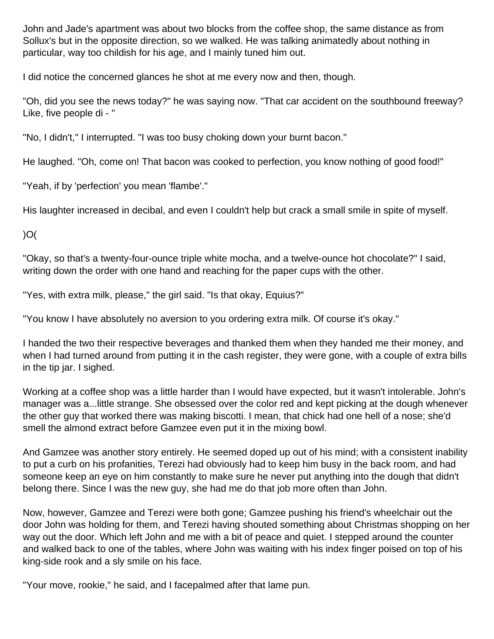John and Jade's apartment was about two blocks from the coffee shop, the same distance as from Sollux's but in the opposite direction, so we walked. He was talking animatedly about nothing in particular, way too childish for his age, and I mainly tuned him out.

I did notice the concerned glances he shot at me every now and then, though.

"Oh, did you see the news today?" he was saying now. "That car accident on the southbound freeway? Like, five people di - "

"No, I didn't," I interrupted. "I was too busy choking down your burnt bacon."

He laughed. "Oh, come on! That bacon was cooked to perfection, you know nothing of good food!"

"Yeah, if by 'perfection' you mean 'flambe'."

His laughter increased in decibal, and even I couldn't help but crack a small smile in spite of myself.

)O(

"Okay, so that's a twenty-four-ounce triple white mocha, and a twelve-ounce hot chocolate?" I said, writing down the order with one hand and reaching for the paper cups with the other.

"Yes, with extra milk, please," the girl said. "Is that okay, Equius?"

"You know I have absolutely no aversion to you ordering extra milk. Of course it's okay."

I handed the two their respective beverages and thanked them when they handed me their money, and when I had turned around from putting it in the cash register, they were gone, with a couple of extra bills in the tip jar. I sighed.

Working at a coffee shop was a little harder than I would have expected, but it wasn't intolerable. John's manager was a...little strange. She obsessed over the color red and kept picking at the dough whenever the other guy that worked there was making biscotti. I mean, that chick had one hell of a nose; she'd smell the almond extract before Gamzee even put it in the mixing bowl.

And Gamzee was another story entirely. He seemed doped up out of his mind; with a consistent inability to put a curb on his profanities, Terezi had obviously had to keep him busy in the back room, and had someone keep an eye on him constantly to make sure he never put anything into the dough that didn't belong there. Since I was the new guy, she had me do that job more often than John.

Now, however, Gamzee and Terezi were both gone; Gamzee pushing his friend's wheelchair out the door John was holding for them, and Terezi having shouted something about Christmas shopping on her way out the door. Which left John and me with a bit of peace and quiet. I stepped around the counter and walked back to one of the tables, where John was waiting with his index finger poised on top of his king-side rook and a sly smile on his face.

"Your move, rookie," he said, and I facepalmed after that lame pun.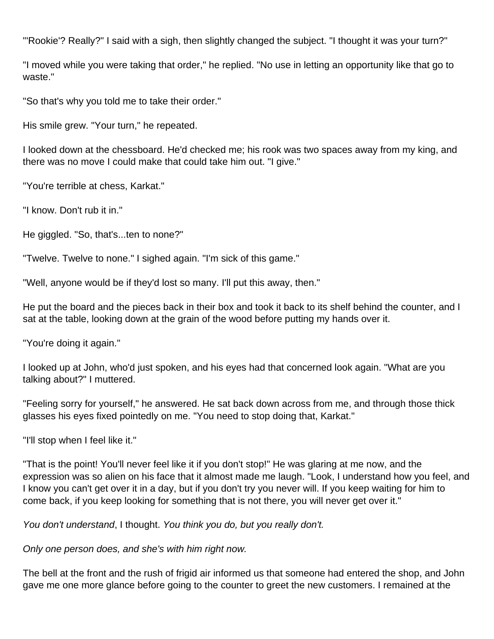"'Rookie'? Really?" I said with a sigh, then slightly changed the subject. "I thought it was your turn?"

"I moved while you were taking that order," he replied. "No use in letting an opportunity like that go to waste."

"So that's why you told me to take their order."

His smile grew. "Your turn," he repeated.

I looked down at the chessboard. He'd checked me; his rook was two spaces away from my king, and there was no move I could make that could take him out. "I give."

"You're terrible at chess, Karkat."

"I know. Don't rub it in."

He giggled. "So, that's...ten to none?"

"Twelve. Twelve to none." I sighed again. "I'm sick of this game."

"Well, anyone would be if they'd lost so many. I'll put this away, then."

He put the board and the pieces back in their box and took it back to its shelf behind the counter, and I sat at the table, looking down at the grain of the wood before putting my hands over it.

"You're doing it again."

I looked up at John, who'd just spoken, and his eyes had that concerned look again. "What are you talking about?" I muttered.

"Feeling sorry for yourself," he answered. He sat back down across from me, and through those thick glasses his eyes fixed pointedly on me. "You need to stop doing that, Karkat."

"I'll stop when I feel like it."

"That is the point! You'll never feel like it if you don't stop!" He was glaring at me now, and the expression was so alien on his face that it almost made me laugh. "Look, I understand how you feel, and I know you can't get over it in a day, but if you don't try you never will. If you keep waiting for him to come back, if you keep looking for something that is not there, you will never get over it."

You don't understand, I thought. You think you do, but you really don't.

Only one person does, and she's with him right now.

The bell at the front and the rush of frigid air informed us that someone had entered the shop, and John gave me one more glance before going to the counter to greet the new customers. I remained at the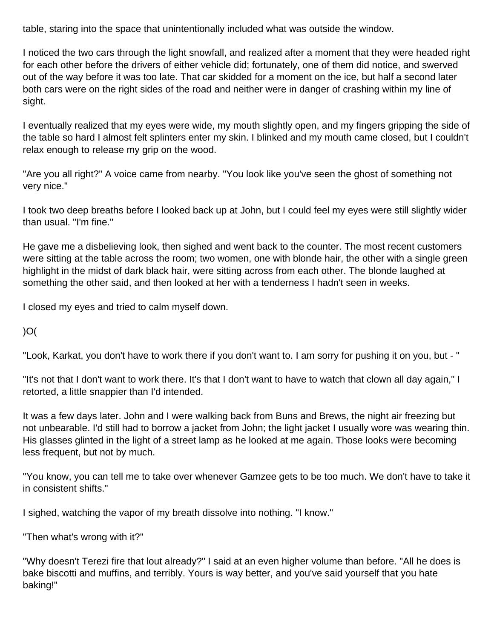table, staring into the space that unintentionally included what was outside the window.

I noticed the two cars through the light snowfall, and realized after a moment that they were headed right for each other before the drivers of either vehicle did; fortunately, one of them did notice, and swerved out of the way before it was too late. That car skidded for a moment on the ice, but half a second later both cars were on the right sides of the road and neither were in danger of crashing within my line of sight.

I eventually realized that my eyes were wide, my mouth slightly open, and my fingers gripping the side of the table so hard I almost felt splinters enter my skin. I blinked and my mouth came closed, but I couldn't relax enough to release my grip on the wood.

"Are you all right?" A voice came from nearby. "You look like you've seen the ghost of something not very nice."

I took two deep breaths before I looked back up at John, but I could feel my eyes were still slightly wider than usual. "I'm fine."

He gave me a disbelieving look, then sighed and went back to the counter. The most recent customers were sitting at the table across the room; two women, one with blonde hair, the other with a single green highlight in the midst of dark black hair, were sitting across from each other. The blonde laughed at something the other said, and then looked at her with a tenderness I hadn't seen in weeks.

I closed my eyes and tried to calm myself down.

 $)O($ 

"Look, Karkat, you don't have to work there if you don't want to. I am sorry for pushing it on you, but - "

"It's not that I don't want to work there. It's that I don't want to have to watch that clown all day again," I retorted, a little snappier than I'd intended.

It was a few days later. John and I were walking back from Buns and Brews, the night air freezing but not unbearable. I'd still had to borrow a jacket from John; the light jacket I usually wore was wearing thin. His glasses glinted in the light of a street lamp as he looked at me again. Those looks were becoming less frequent, but not by much.

"You know, you can tell me to take over whenever Gamzee gets to be too much. We don't have to take it in consistent shifts."

I sighed, watching the vapor of my breath dissolve into nothing. "I know."

"Then what's wrong with it?"

"Why doesn't Terezi fire that lout already?" I said at an even higher volume than before. "All he does is bake biscotti and muffins, and terribly. Yours is way better, and you've said yourself that you hate baking!"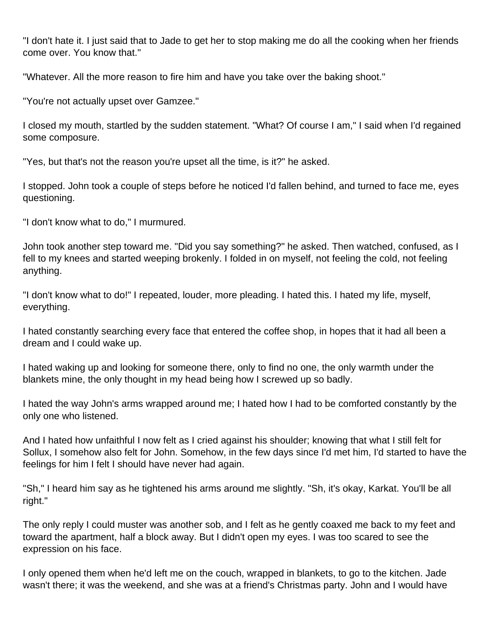"I don't hate it. I just said that to Jade to get her to stop making me do all the cooking when her friends come over. You know that."

"Whatever. All the more reason to fire him and have you take over the baking shoot."

"You're not actually upset over Gamzee."

I closed my mouth, startled by the sudden statement. "What? Of course I am," I said when I'd regained some composure.

"Yes, but that's not the reason you're upset all the time, is it?" he asked.

I stopped. John took a couple of steps before he noticed I'd fallen behind, and turned to face me, eyes questioning.

"I don't know what to do," I murmured.

John took another step toward me. "Did you say something?" he asked. Then watched, confused, as I fell to my knees and started weeping brokenly. I folded in on myself, not feeling the cold, not feeling anything.

"I don't know what to do!" I repeated, louder, more pleading. I hated this. I hated my life, myself, everything.

I hated constantly searching every face that entered the coffee shop, in hopes that it had all been a dream and I could wake up.

I hated waking up and looking for someone there, only to find no one, the only warmth under the blankets mine, the only thought in my head being how I screwed up so badly.

I hated the way John's arms wrapped around me; I hated how I had to be comforted constantly by the only one who listened.

And I hated how unfaithful I now felt as I cried against his shoulder; knowing that what I still felt for Sollux, I somehow also felt for John. Somehow, in the few days since I'd met him, I'd started to have the feelings for him I felt I should have never had again.

"Sh," I heard him say as he tightened his arms around me slightly. "Sh, it's okay, Karkat. You'll be all right."

The only reply I could muster was another sob, and I felt as he gently coaxed me back to my feet and toward the apartment, half a block away. But I didn't open my eyes. I was too scared to see the expression on his face.

I only opened them when he'd left me on the couch, wrapped in blankets, to go to the kitchen. Jade wasn't there; it was the weekend, and she was at a friend's Christmas party. John and I would have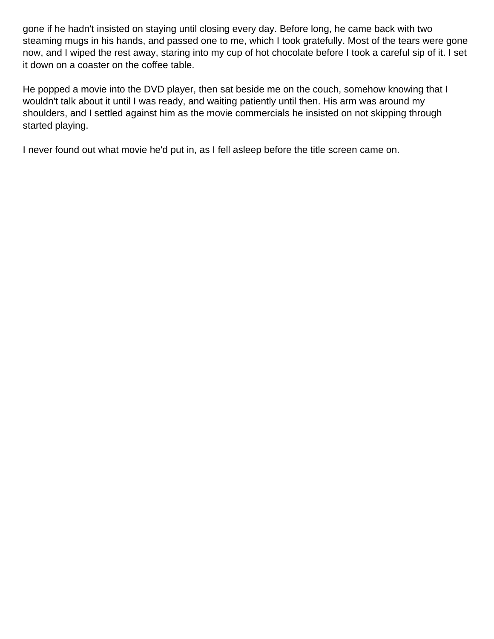gone if he hadn't insisted on staying until closing every day. Before long, he came back with two steaming mugs in his hands, and passed one to me, which I took gratefully. Most of the tears were gone now, and I wiped the rest away, staring into my cup of hot chocolate before I took a careful sip of it. I set it down on a coaster on the coffee table.

He popped a movie into the DVD player, then sat beside me on the couch, somehow knowing that I wouldn't talk about it until I was ready, and waiting patiently until then. His arm was around my shoulders, and I settled against him as the movie commercials he insisted on not skipping through started playing.

I never found out what movie he'd put in, as I fell asleep before the title screen came on.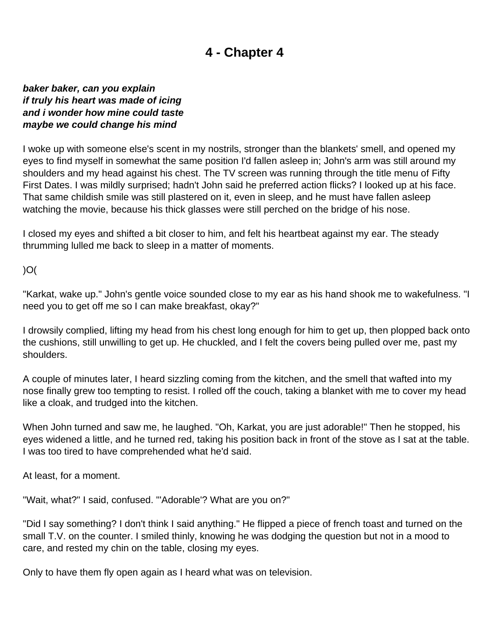#### <span id="page-13-0"></span>**baker baker, can you explain if truly his heart was made of icing and i wonder how mine could taste maybe we could change his mind**

I woke up with someone else's scent in my nostrils, stronger than the blankets' smell, and opened my eyes to find myself in somewhat the same position I'd fallen asleep in; John's arm was still around my shoulders and my head against his chest. The TV screen was running through the title menu of Fifty First Dates. I was mildly surprised; hadn't John said he preferred action flicks? I looked up at his face. That same childish smile was still plastered on it, even in sleep, and he must have fallen asleep watching the movie, because his thick glasses were still perched on the bridge of his nose.

I closed my eyes and shifted a bit closer to him, and felt his heartbeat against my ear. The steady thrumming lulled me back to sleep in a matter of moments.

)O(

"Karkat, wake up." John's gentle voice sounded close to my ear as his hand shook me to wakefulness. "I need you to get off me so I can make breakfast, okay?"

I drowsily complied, lifting my head from his chest long enough for him to get up, then plopped back onto the cushions, still unwilling to get up. He chuckled, and I felt the covers being pulled over me, past my shoulders.

A couple of minutes later, I heard sizzling coming from the kitchen, and the smell that wafted into my nose finally grew too tempting to resist. I rolled off the couch, taking a blanket with me to cover my head like a cloak, and trudged into the kitchen.

When John turned and saw me, he laughed. "Oh, Karkat, you are just adorable!" Then he stopped, his eyes widened a little, and he turned red, taking his position back in front of the stove as I sat at the table. I was too tired to have comprehended what he'd said.

At least, for a moment.

"Wait, what?" I said, confused. "'Adorable'? What are you on?"

"Did I say something? I don't think I said anything." He flipped a piece of french toast and turned on the small T.V. on the counter. I smiled thinly, knowing he was dodging the question but not in a mood to care, and rested my chin on the table, closing my eyes.

Only to have them fly open again as I heard what was on television.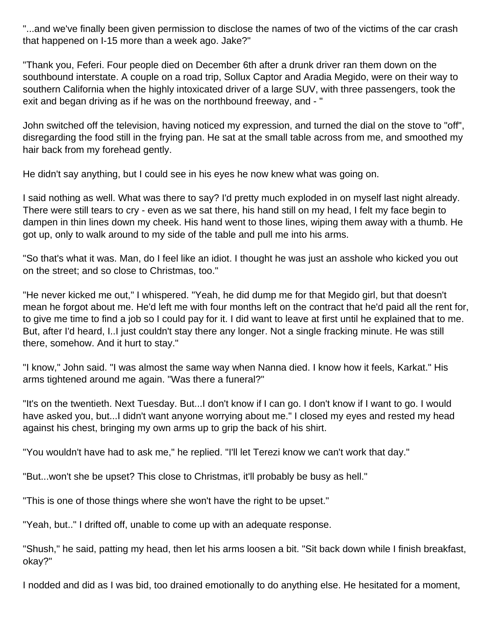"...and we've finally been given permission to disclose the names of two of the victims of the car crash that happened on I-15 more than a week ago. Jake?"

"Thank you, Feferi. Four people died on December 6th after a drunk driver ran them down on the southbound interstate. A couple on a road trip, Sollux Captor and Aradia Megido, were on their way to southern California when the highly intoxicated driver of a large SUV, with three passengers, took the exit and began driving as if he was on the northbound freeway, and - "

John switched off the television, having noticed my expression, and turned the dial on the stove to "off", disregarding the food still in the frying pan. He sat at the small table across from me, and smoothed my hair back from my forehead gently.

He didn't say anything, but I could see in his eyes he now knew what was going on.

I said nothing as well. What was there to say? I'd pretty much exploded in on myself last night already. There were still tears to cry - even as we sat there, his hand still on my head, I felt my face begin to dampen in thin lines down my cheek. His hand went to those lines, wiping them away with a thumb. He got up, only to walk around to my side of the table and pull me into his arms.

"So that's what it was. Man, do I feel like an idiot. I thought he was just an asshole who kicked you out on the street; and so close to Christmas, too."

"He never kicked me out," I whispered. "Yeah, he did dump me for that Megido girl, but that doesn't mean he forgot about me. He'd left me with four months left on the contract that he'd paid all the rent for, to give me time to find a job so I could pay for it. I did want to leave at first until he explained that to me. But, after I'd heard, I..I just couldn't stay there any longer. Not a single fracking minute. He was still there, somehow. And it hurt to stay."

"I know," John said. "I was almost the same way when Nanna died. I know how it feels, Karkat." His arms tightened around me again. "Was there a funeral?"

"It's on the twentieth. Next Tuesday. But...I don't know if I can go. I don't know if I want to go. I would have asked you, but...I didn't want anyone worrying about me." I closed my eyes and rested my head against his chest, bringing my own arms up to grip the back of his shirt.

"You wouldn't have had to ask me," he replied. "I'll let Terezi know we can't work that day."

"But...won't she be upset? This close to Christmas, it'll probably be busy as hell."

"This is one of those things where she won't have the right to be upset."

"Yeah, but.." I drifted off, unable to come up with an adequate response.

"Shush," he said, patting my head, then let his arms loosen a bit. "Sit back down while I finish breakfast, okay?"

I nodded and did as I was bid, too drained emotionally to do anything else. He hesitated for a moment,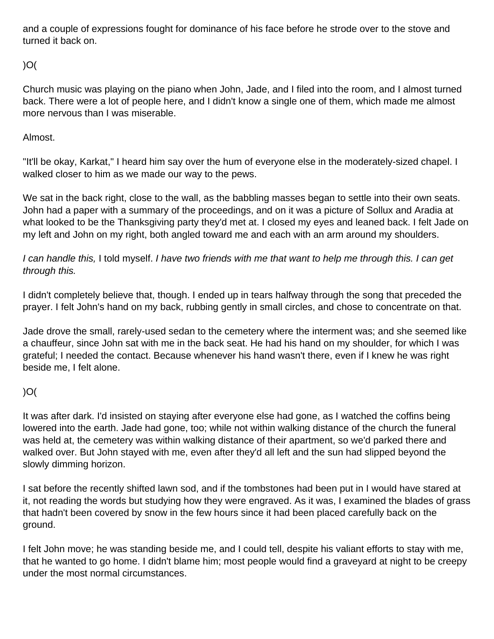and a couple of expressions fought for dominance of his face before he strode over to the stove and turned it back on.

 $)O($ 

Church music was playing on the piano when John, Jade, and I filed into the room, and I almost turned back. There were a lot of people here, and I didn't know a single one of them, which made me almost more nervous than I was miserable.

Almost.

"It'll be okay, Karkat," I heard him say over the hum of everyone else in the moderately-sized chapel. I walked closer to him as we made our way to the pews.

We sat in the back right, close to the wall, as the babbling masses began to settle into their own seats. John had a paper with a summary of the proceedings, and on it was a picture of Sollux and Aradia at what looked to be the Thanksgiving party they'd met at. I closed my eyes and leaned back. I felt Jade on my left and John on my right, both angled toward me and each with an arm around my shoulders.

I can handle this, I told myself. I have two friends with me that want to help me through this. I can get through this.

I didn't completely believe that, though. I ended up in tears halfway through the song that preceded the prayer. I felt John's hand on my back, rubbing gently in small circles, and chose to concentrate on that.

Jade drove the small, rarely-used sedan to the cemetery where the interment was; and she seemed like a chauffeur, since John sat with me in the back seat. He had his hand on my shoulder, for which I was grateful; I needed the contact. Because whenever his hand wasn't there, even if I knew he was right beside me, I felt alone.

)O(

It was after dark. I'd insisted on staying after everyone else had gone, as I watched the coffins being lowered into the earth. Jade had gone, too; while not within walking distance of the church the funeral was held at, the cemetery was within walking distance of their apartment, so we'd parked there and walked over. But John stayed with me, even after they'd all left and the sun had slipped beyond the slowly dimming horizon.

I sat before the recently shifted lawn sod, and if the tombstones had been put in I would have stared at it, not reading the words but studying how they were engraved. As it was, I examined the blades of grass that hadn't been covered by snow in the few hours since it had been placed carefully back on the ground.

I felt John move; he was standing beside me, and I could tell, despite his valiant efforts to stay with me, that he wanted to go home. I didn't blame him; most people would find a graveyard at night to be creepy under the most normal circumstances.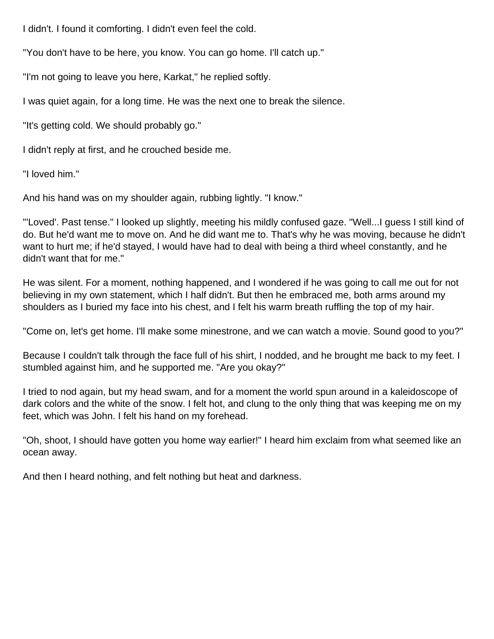I didn't. I found it comforting. I didn't even feel the cold.

"You don't have to be here, you know. You can go home. I'll catch up."

"I'm not going to leave you here, Karkat," he replied softly.

I was quiet again, for a long time. He was the next one to break the silence.

"It's getting cold. We should probably go."

I didn't reply at first, and he crouched beside me.

"I loved him."

And his hand was on my shoulder again, rubbing lightly. "I know."

"'Loved'. Past tense." I looked up slightly, meeting his mildly confused gaze. "Well...I guess I still kind of do. But he'd want me to move on. And he did want me to. That's why he was moving, because he didn't want to hurt me; if he'd stayed, I would have had to deal with being a third wheel constantly, and he didn't want that for me."

He was silent. For a moment, nothing happened, and I wondered if he was going to call me out for not believing in my own statement, which I half didn't. But then he embraced me, both arms around my shoulders as I buried my face into his chest, and I felt his warm breath ruffling the top of my hair.

"Come on, let's get home. I'll make some minestrone, and we can watch a movie. Sound good to you?"

Because I couldn't talk through the face full of his shirt, I nodded, and he brought me back to my feet. I stumbled against him, and he supported me. "Are you okay?"

I tried to nod again, but my head swam, and for a moment the world spun around in a kaleidoscope of dark colors and the white of the snow. I felt hot, and clung to the only thing that was keeping me on my feet, which was John. I felt his hand on my forehead.

"Oh, shoot, I should have gotten you home way earlier!" I heard him exclaim from what seemed like an ocean away.

And then I heard nothing, and felt nothing but heat and darkness.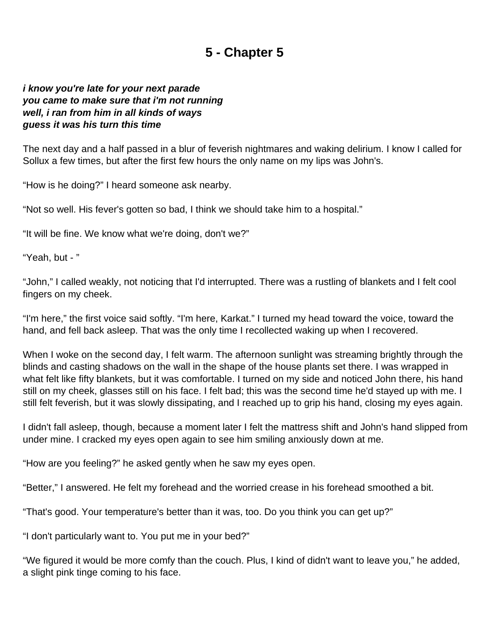#### <span id="page-17-0"></span>**i know you're late for your next parade you came to make sure that i'm not running well, i ran from him in all kinds of ways guess it was his turn this time**

The next day and a half passed in a blur of feverish nightmares and waking delirium. I know I called for Sollux a few times, but after the first few hours the only name on my lips was John's.

"How is he doing?" I heard someone ask nearby.

"Not so well. His fever's gotten so bad, I think we should take him to a hospital."

"It will be fine. We know what we're doing, don't we?"

"Yeah, but - "

"John," I called weakly, not noticing that I'd interrupted. There was a rustling of blankets and I felt cool fingers on my cheek.

"I'm here," the first voice said softly. "I'm here, Karkat." I turned my head toward the voice, toward the hand, and fell back asleep. That was the only time I recollected waking up when I recovered.

When I woke on the second day, I felt warm. The afternoon sunlight was streaming brightly through the blinds and casting shadows on the wall in the shape of the house plants set there. I was wrapped in what felt like fifty blankets, but it was comfortable. I turned on my side and noticed John there, his hand still on my cheek, glasses still on his face. I felt bad; this was the second time he'd stayed up with me. I still felt feverish, but it was slowly dissipating, and I reached up to grip his hand, closing my eyes again.

I didn't fall asleep, though, because a moment later I felt the mattress shift and John's hand slipped from under mine. I cracked my eyes open again to see him smiling anxiously down at me.

"How are you feeling?" he asked gently when he saw my eyes open.

"Better," I answered. He felt my forehead and the worried crease in his forehead smoothed a bit.

"That's good. Your temperature's better than it was, too. Do you think you can get up?"

"I don't particularly want to. You put me in your bed?"

"We figured it would be more comfy than the couch. Plus, I kind of didn't want to leave you," he added, a slight pink tinge coming to his face.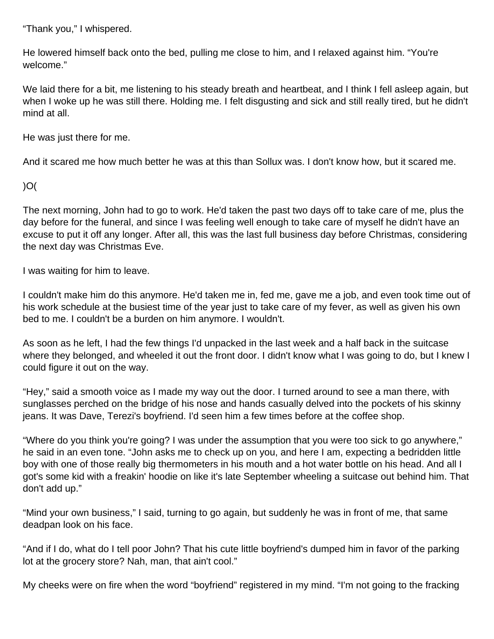"Thank you," I whispered.

He lowered himself back onto the bed, pulling me close to him, and I relaxed against him. "You're welcome."

We laid there for a bit, me listening to his steady breath and heartbeat, and I think I fell asleep again, but when I woke up he was still there. Holding me. I felt disgusting and sick and still really tired, but he didn't mind at all.

He was just there for me.

And it scared me how much better he was at this than Sollux was. I don't know how, but it scared me.

)O(

The next morning, John had to go to work. He'd taken the past two days off to take care of me, plus the day before for the funeral, and since I was feeling well enough to take care of myself he didn't have an excuse to put it off any longer. After all, this was the last full business day before Christmas, considering the next day was Christmas Eve.

I was waiting for him to leave.

I couldn't make him do this anymore. He'd taken me in, fed me, gave me a job, and even took time out of his work schedule at the busiest time of the year just to take care of my fever, as well as given his own bed to me. I couldn't be a burden on him anymore. I wouldn't.

As soon as he left, I had the few things I'd unpacked in the last week and a half back in the suitcase where they belonged, and wheeled it out the front door. I didn't know what I was going to do, but I knew I could figure it out on the way.

"Hey," said a smooth voice as I made my way out the door. I turned around to see a man there, with sunglasses perched on the bridge of his nose and hands casually delved into the pockets of his skinny jeans. It was Dave, Terezi's boyfriend. I'd seen him a few times before at the coffee shop.

"Where do you think you're going? I was under the assumption that you were too sick to go anywhere," he said in an even tone. "John asks me to check up on you, and here I am, expecting a bedridden little boy with one of those really big thermometers in his mouth and a hot water bottle on his head. And all I got's some kid with a freakin' hoodie on like it's late September wheeling a suitcase out behind him. That don't add up."

"Mind your own business," I said, turning to go again, but suddenly he was in front of me, that same deadpan look on his face.

"And if I do, what do I tell poor John? That his cute little boyfriend's dumped him in favor of the parking lot at the grocery store? Nah, man, that ain't cool."

My cheeks were on fire when the word "boyfriend" registered in my mind. "I'm not going to the fracking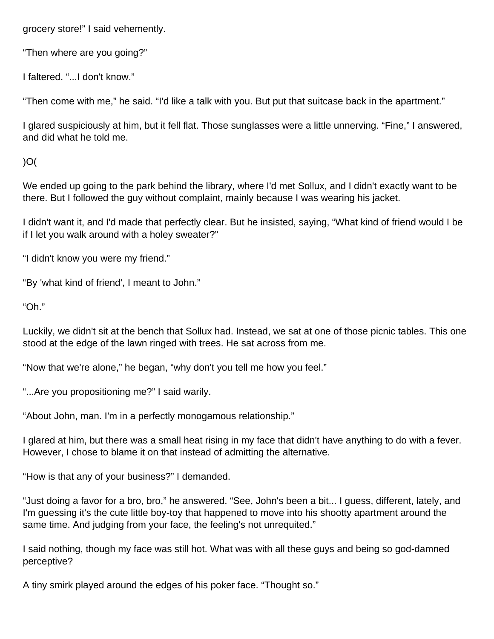grocery store!" I said vehemently.

"Then where are you going?"

I faltered. "...I don't know."

"Then come with me," he said. "I'd like a talk with you. But put that suitcase back in the apartment."

I glared suspiciously at him, but it fell flat. Those sunglasses were a little unnerving. "Fine," I answered, and did what he told me.

 $)O($ 

We ended up going to the park behind the library, where I'd met Sollux, and I didn't exactly want to be there. But I followed the guy without complaint, mainly because I was wearing his jacket.

I didn't want it, and I'd made that perfectly clear. But he insisted, saying, "What kind of friend would I be if I let you walk around with a holey sweater?"

"I didn't know you were my friend."

"By 'what kind of friend', I meant to John."

"Oh."

Luckily, we didn't sit at the bench that Sollux had. Instead, we sat at one of those picnic tables. This one stood at the edge of the lawn ringed with trees. He sat across from me.

"Now that we're alone," he began, "why don't you tell me how you feel."

"...Are you propositioning me?" I said warily.

"About John, man. I'm in a perfectly monogamous relationship."

I glared at him, but there was a small heat rising in my face that didn't have anything to do with a fever. However, I chose to blame it on that instead of admitting the alternative.

"How is that any of your business?" I demanded.

"Just doing a favor for a bro, bro," he answered. "See, John's been a bit... I guess, different, lately, and I'm guessing it's the cute little boy-toy that happened to move into his shootty apartment around the same time. And judging from your face, the feeling's not unrequited."

I said nothing, though my face was still hot. What was with all these guys and being so god-damned perceptive?

A tiny smirk played around the edges of his poker face. "Thought so."